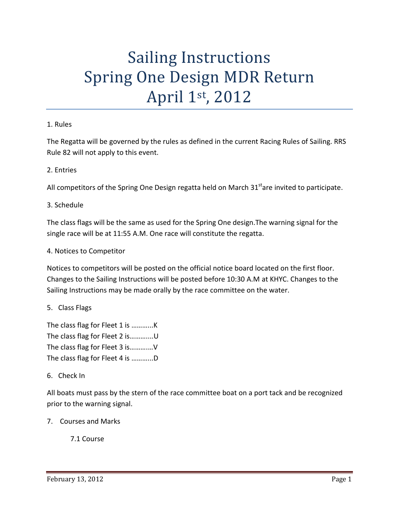# Sailing Instructions Spring One Design MDR Return April 1st, 2012

#### 1. Rules

The Regatta will be governed by the rules as defined in the current Racing Rules of Sailing. RRS Rule 82 will not apply to this event.

#### 2. Entries

All competitors of the Spring One Design regatta held on March 31<sup>st</sup>are invited to participate.

#### 3. Schedule

The class flags will be the same as used for the Spring One design.The warning signal for the single race will be at 11:55 A.M. One race will constitute the regatta.

#### 4. Notices to Competitor

Notices to competitors will be posted on the official notice board located on the first floor. Changes to the Sailing Instructions will be posted before 10:30 A.M at KHYC. Changes to the Sailing Instructions may be made orally by the race committee on the water.

# 5. Class Flags

The class flag for Fleet 1 is .............K The class flag for Fleet 2 is..............U The class flag for Fleet 3 is……….…V The class flag for Fleet 4 is ............D

#### 6. Check In

All boats must pass by the stern of the race committee boat on a port tack and be recognized prior to the warning signal.

7. Courses and Marks

7.1 Course